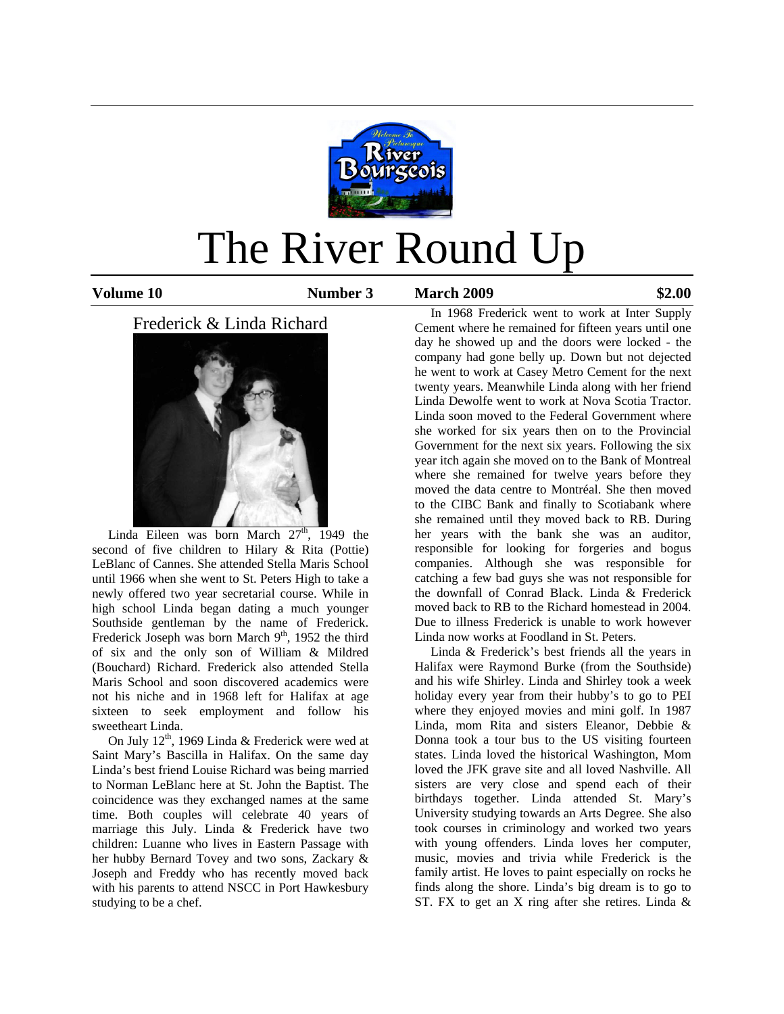

# The River Round Up

**Volume 10 Number 3 March 2009 \$2.00**

# Frederick & Linda Richard



Linda Eileen was born March  $27<sup>th</sup>$ , 1949 the second of five children to Hilary & Rita (Pottie) LeBlanc of Cannes. She attended Stella Maris School until 1966 when she went to St. Peters High to take a newly offered two year secretarial course. While in high school Linda began dating a much younger Southside gentleman by the name of Frederick. Frederick Joseph was born March  $9<sup>th</sup>$ , 1952 the third of six and the only son of William & Mildred (Bouchard) Richard. Frederick also attended Stella Maris School and soon discovered academics were not his niche and in 1968 left for Halifax at age sixteen to seek employment and follow his sweetheart Linda.

On July  $12<sup>th</sup>$ , 1969 Linda & Frederick were wed at Saint Mary's Bascilla in Halifax. On the same day Linda's best friend Louise Richard was being married to Norman LeBlanc here at St. John the Baptist. The coincidence was they exchanged names at the same time. Both couples will celebrate 40 years of marriage this July. Linda & Frederick have two children: Luanne who lives in Eastern Passage with her hubby Bernard Tovey and two sons, Zackary & Joseph and Freddy who has recently moved back with his parents to attend NSCC in Port Hawkesbury studying to be a chef.

 In 1968 Frederick went to work at Inter Supply Cement where he remained for fifteen years until one day he showed up and the doors were locked - the company had gone belly up. Down but not dejected he went to work at Casey Metro Cement for the next twenty years. Meanwhile Linda along with her friend Linda Dewolfe went to work at Nova Scotia Tractor. Linda soon moved to the Federal Government where she worked for six years then on to the Provincial Government for the next six years. Following the six year itch again she moved on to the Bank of Montreal where she remained for twelve years before they moved the data centre to Montréal. She then moved to the CIBC Bank and finally to Scotiabank where she remained until they moved back to RB. During her years with the bank she was an auditor, responsible for looking for forgeries and bogus companies. Although she was responsible for catching a few bad guys she was not responsible for the downfall of Conrad Black. Linda & Frederick moved back to RB to the Richard homestead in 2004. Due to illness Frederick is unable to work however Linda now works at Foodland in St. Peters.

 Linda & Frederick's best friends all the years in Halifax were Raymond Burke (from the Southside) and his wife Shirley. Linda and Shirley took a week holiday every year from their hubby's to go to PEI where they enjoyed movies and mini golf. In 1987 Linda, mom Rita and sisters Eleanor, Debbie & Donna took a tour bus to the US visiting fourteen states. Linda loved the historical Washington, Mom loved the JFK grave site and all loved Nashville. All sisters are very close and spend each of their birthdays together. Linda attended St. Mary's University studying towards an Arts Degree. She also took courses in criminology and worked two years with young offenders. Linda loves her computer, music, movies and trivia while Frederick is the family artist. He loves to paint especially on rocks he finds along the shore. Linda's big dream is to go to ST. FX to get an X ring after she retires. Linda &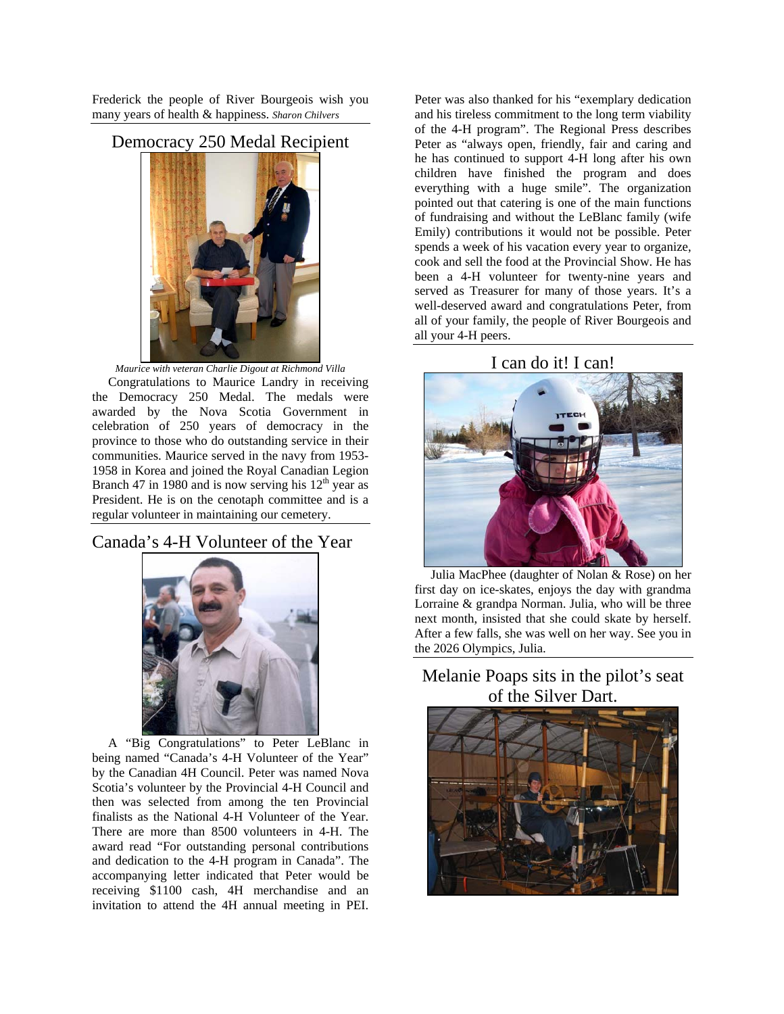Frederick the people of River Bourgeois wish you many years of health & happiness. *Sharon Chilvers* 

Democracy 250 Medal Recipient



*Maurice with veteran Charlie Digout at Richmond Villa*  Congratulations to Maurice Landry in receiving the Democracy 250 Medal. The medals were awarded by the Nova Scotia Government in celebration of 250 years of democracy in the province to those who do outstanding service in their communities. Maurice served in the navy from 1953- 1958 in Korea and joined the Royal Canadian Legion Branch 47 in 1980 and is now serving his  $12<sup>th</sup>$  year as President. He is on the cenotaph committee and is a regular volunteer in maintaining our cemetery.

## Canada's 4-H Volunteer of the Year



 A "Big Congratulations" to Peter LeBlanc in being named "Canada's 4-H Volunteer of the Year" by the Canadian 4H Council. Peter was named Nova Scotia's volunteer by the Provincial 4-H Council and then was selected from among the ten Provincial finalists as the National 4-H Volunteer of the Year. There are more than 8500 volunteers in 4-H. The award read "For outstanding personal contributions and dedication to the 4-H program in Canada". The accompanying letter indicated that Peter would be receiving \$1100 cash, 4H merchandise and an invitation to attend the 4H annual meeting in PEI.

Peter was also thanked for his "exemplary dedication and his tireless commitment to the long term viability of the 4-H program". The Regional Press describes Peter as "always open, friendly, fair and caring and he has continued to support 4-H long after his own children have finished the program and does everything with a huge smile". The organization pointed out that catering is one of the main functions of fundraising and without the LeBlanc family (wife Emily) contributions it would not be possible. Peter spends a week of his vacation every year to organize, cook and sell the food at the Provincial Show. He has been a 4-H volunteer for twenty-nine years and served as Treasurer for many of those years. It's a well-deserved award and congratulations Peter, from all of your family, the people of River Bourgeois and all your 4-H peers.

## I can do it! I can!



 Julia MacPhee (daughter of Nolan & Rose) on her first day on ice-skates, enjoys the day with grandma Lorraine & grandpa Norman. Julia, who will be three next month, insisted that she could skate by herself. After a few falls, she was well on her way. See you in the 2026 Olympics, Julia.

# Melanie Poaps sits in the pilot's seat of the Silver Dart.

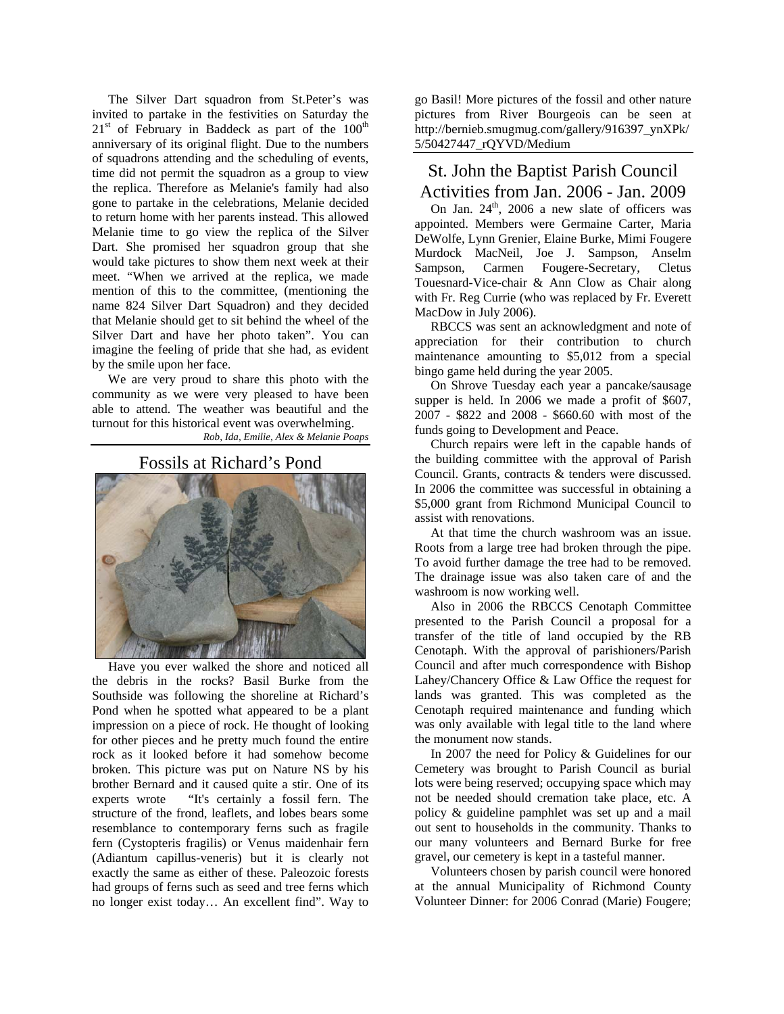The Silver Dart squadron from St.Peter's was invited to partake in the festivities on Saturday the  $21<sup>st</sup>$  of February in Baddeck as part of the  $100<sup>th</sup>$ anniversary of its original flight. Due to the numbers of squadrons attending and the scheduling of events, time did not permit the squadron as a group to view the replica. Therefore as Melanie's family had also gone to partake in the celebrations, Melanie decided to return home with her parents instead. This allowed Melanie time to go view the replica of the Silver Dart. She promised her squadron group that she would take pictures to show them next week at their meet. "When we arrived at the replica, we made mention of this to the committee, (mentioning the name 824 Silver Dart Squadron) and they decided that Melanie should get to sit behind the wheel of the Silver Dart and have her photo taken". You can imagine the feeling of pride that she had, as evident by the smile upon her face.

 We are very proud to share this photo with the community as we were very pleased to have been able to attend. The weather was beautiful and the turnout for this historical event was overwhelming. *Rob, Ida, Emilie, Alex & Melanie Poaps* 

## Fossils at Richard's Pond



 Have you ever walked the shore and noticed all the debris in the rocks? Basil Burke from the Southside was following the shoreline at Richard's Pond when he spotted what appeared to be a plant impression on a piece of rock. He thought of looking for other pieces and he pretty much found the entire rock as it looked before it had somehow become broken. This picture was put on Nature NS by his brother Bernard and it caused quite a stir. One of its experts wrote "It's certainly a fossil fern. The structure of the frond, leaflets, and lobes bears some resemblance to contemporary ferns such as fragile fern (Cystopteris fragilis) or Venus maidenhair fern (Adiantum capillus-veneris) but it is clearly not exactly the same as either of these. Paleozoic forests had groups of ferns such as seed and tree ferns which no longer exist today… An excellent find". Way to

go Basil! More pictures of the fossil and other nature pictures from River Bourgeois can be seen at http://bernieb.smugmug.com/gallery/916397\_ynXPk/ 5/50427447\_rQYVD/Medium

# St. John the Baptist Parish Council Activities from Jan. 2006 - Jan. 2009

On Jan.  $24<sup>th</sup>$ , 2006 a new slate of officers was appointed. Members were Germaine Carter, Maria DeWolfe, Lynn Grenier, Elaine Burke, Mimi Fougere Murdock MacNeil, Joe J. Sampson, Anselm Sampson, Carmen Fougere-Secretary, Cletus Touesnard-Vice-chair & Ann Clow as Chair along with Fr. Reg Currie (who was replaced by Fr. Everett MacDow in July 2006).

 RBCCS was sent an acknowledgment and note of appreciation for their contribution to church maintenance amounting to \$5,012 from a special bingo game held during the year 2005.

 On Shrove Tuesday each year a pancake/sausage supper is held. In 2006 we made a profit of \$607, 2007 - \$822 and 2008 - \$660.60 with most of the funds going to Development and Peace.

 Church repairs were left in the capable hands of the building committee with the approval of Parish Council. Grants, contracts & tenders were discussed. In 2006 the committee was successful in obtaining a \$5,000 grant from Richmond Municipal Council to assist with renovations.

 At that time the church washroom was an issue. Roots from a large tree had broken through the pipe. To avoid further damage the tree had to be removed. The drainage issue was also taken care of and the washroom is now working well.

 Also in 2006 the RBCCS Cenotaph Committee presented to the Parish Council a proposal for a transfer of the title of land occupied by the RB Cenotaph. With the approval of parishioners/Parish Council and after much correspondence with Bishop Lahey/Chancery Office & Law Office the request for lands was granted. This was completed as the Cenotaph required maintenance and funding which was only available with legal title to the land where the monument now stands.

 In 2007 the need for Policy & Guidelines for our Cemetery was brought to Parish Council as burial lots were being reserved; occupying space which may not be needed should cremation take place, etc. A policy & guideline pamphlet was set up and a mail out sent to households in the community. Thanks to our many volunteers and Bernard Burke for free gravel, our cemetery is kept in a tasteful manner.

 Volunteers chosen by parish council were honored at the annual Municipality of Richmond County Volunteer Dinner: for 2006 Conrad (Marie) Fougere;